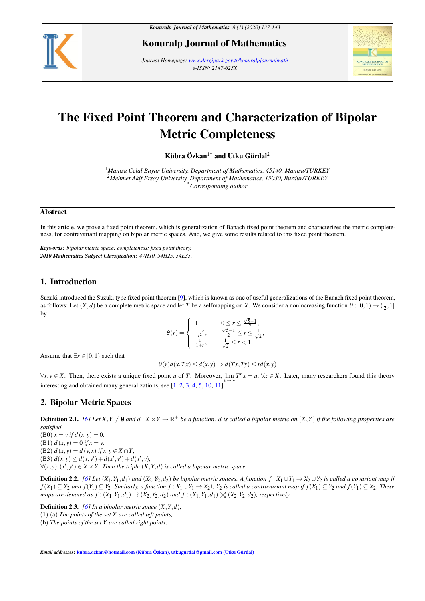

Konuralp Journal of Mathematics

*Journal Homepage: www.dergipark.gov.tr/konuralpjournalmath e-ISSN: 2147-625X*



# The Fixed Point Theorem and Characterization of Bipolar Metric Completeness

Kübra Özkan<sup>1\*</sup> and Utku Gürdal<sup>2</sup>

<sup>1</sup>*Manisa Celal Bayar University, Department of Mathematics, 45140, Manisa/TURKEY* <sup>2</sup>*Mehmet Akif Ersoy University, Department of Mathematics, 15030, Burdur/TURKEY* \**Corresponding author*

#### Abstract

In this article, we prove a fixed point theorem, which is generalization of Banach fixed point theorem and characterizes the metric completeness, for contravariant mapping on bipolar metric spaces. And, we give some results related to this fixed point theorem.

*Keywords: bipolar metric space; completeness; fixed point theory. 2010 Mathematics Subject Classification: 47H10, 54H25, 54E35.*

## 1. Introduction

Suzuki introduced the Suzuki type fixed point theorem [\[9\]](#page-6-0), which is known as one of useful generalizations of the Banach fixed point theorem, as follows: Let  $(X, d)$  be a complete metric space and let *T* be a selfmapping on *X*. We consider a nonincreasing function  $\theta : [0, 1) \rightarrow (\frac{1}{2}, 1]$ by

$$
\theta(r) = \begin{cases} 1, & 0 \le r \le \frac{\sqrt{5}-1}{2}, \\ \frac{1-r}{r^2}, & \frac{\sqrt{5}-1}{2} \le r \le \frac{1}{\sqrt{2}}, \\ \frac{1}{1+r}, & \frac{1}{\sqrt{2}} \le r < 1. \end{cases}
$$

Assume that  $\exists r \in [0,1)$  such that

$$
\theta(r)d(x,Tx) \leq d(x,y) \Rightarrow d(Tx,Ty) \leq rd(x,y)
$$

 $\forall x, y \in X$ . Then, there exists a unique fixed point *u* of *T*. Moreover,  $\lim_{n \to \infty} T^n x = u$ ,  $\forall x \in X$ . Later, many researchers found this theory interesting and obtained many generalizations, see [\[1,](#page-6-1) [2,](#page-6-2) [3,](#page-6-3) [4,](#page-6-4) [5,](#page-6-5) [10,](#page-6-6) [11\]](#page-6-7).

## 2. Bipolar Metric Spaces

**Definition 2.1.** [\[6\]](#page-6-8) Let X, Y  $\neq$  0 and d : X  $\times$  Y  $\to$  R<sup>+</sup> be a function. d is called a bipolar metric on  $(X,Y)$  if the following properties are *satisfied*

(B0)  $x = y$  if  $d(x, y) = 0$ ,  $(B1) d(x, y) = 0$  *if*  $x = y$ ,  $(B2) d(x, y) = d(y, x) if x, y \in X \cap Y,$  $(d(x, y) \leq d(x, y') + d(x', y') + d(x', y),$  $\forall$ (*x*, *y*), (*x*<sup>*'*</sup>, *y*<sup>*'*</sup>)  $\in$  *X*  $\times$  *Y*. Then the triple (*X*, *Y*, *d*) is called a bipolar metric space.

**Definition 2.2.** [\[6\]](#page-6-8) Let  $(X_1, Y_1, d_1)$  and  $(X_2, Y_2, d_2)$  be bipolar metric spaces. A function  $f: X_1 \cup Y_1 \to X_2 \cup Y_2$  is called a covariant map if  $f(X_1) \subseteq X_2$  and  $f(Y_1) \subseteq Y_2$ . Similarly, a function  $f: X_1 \cup Y_1 \to X_2 \cup Y_2$  is called a contravariant map if  $f(X_1) \subseteq Y_2$  and  $f(Y_1) \subseteq X_2$ . These *maps are denoted as*  $f : (X_1, Y_1, d_1) \rightrightarrows (X_2, Y_2, d_2)$  *and*  $f : (X_1, Y_1, d_1) \nearrow (X_2, Y_2, d_2)$ *, respectively.* 

**Definition 2.3.** *[\[6\]](#page-6-8) In a bipolar metric space*  $(X, Y, d)$ *;* 

(1) (a) *The points of the set X are called left points,*

(b) *The points of the set Y are called right points,*

*Email addresses*: kubra.ozkan@hotmail.com (Kübra Özkan), utkugurdal@gmail.com (Utku Gürdal)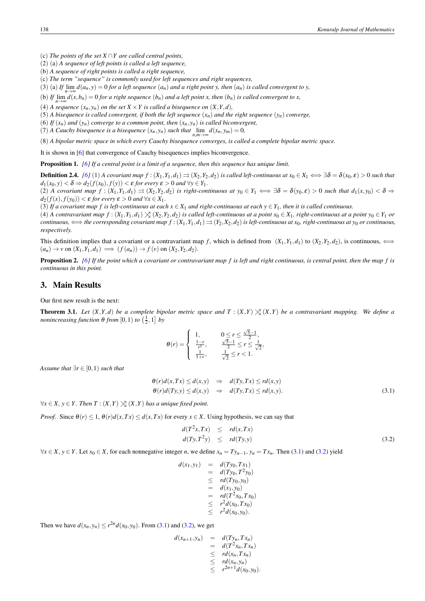(c) *The points of the set X* ∩*Y are called central points,*

(2) (a) *A sequence of left points is called a left sequence,*

(b) *A sequence of right points is called a right sequence,*

(c) *The term "sequence" is commonly used for left sequences and right sequences,*

(3) (a) If  $\lim_{n\to\infty} d(a_n, y) = 0$  for a left sequence  $(a_n)$  and a right point y, then  $(a_n)$  is called convergent to y,

(b) If  $\lim_{n\to\infty} d(x, b_n) = 0$  for a right sequence  $(b_n)$  and a left point x, then  $(b_n)$  is called convergent to x,

(4) *A sequence*  $(x_n, y_n)$  *on the set*  $X \times Y$  *is called a bisequence on*  $(X, Y, d)$ *,* 

(5) *A bisequence is called convergent, if both the left sequence*  $(x_n)$  *and the right sequence*  $(y_n)$  *converge,* 

(6) *If*  $(x_n)$  *and*  $(y_n)$  *converge to a common point, then*  $(x_n, y_n)$  *is called biconvergent,* 

(7) *A Cauchy bisequence is a bisequence*  $(x_n, y_n)$  *such that*  $\lim_{n,m \to \infty} d(x_n, y_m) = 0$ ,

(8) *A bipolar metric space in which every Cauchy bisequence converges, is called a complete bipolar metric space.*

It is shown in [\[6\]](#page-6-8) that convergence of Cauchy bisequences implies biconvergence.

Proposition 1. *[\[6\]](#page-6-8) If a central point is a limit of a sequence, then this sequence has unique limit.*

**Definition 2.4.** [\[6\]](#page-6-8) (1) A covariant map  $f:(X_1,Y_1,d_1)\rightrightarrows (X_2,Y_2,d_2)$  is called left-continuous at  $x_0\in X_1 \iff \exists \delta = \delta(x_0,\epsilon) > 0$  such that  $d_1(x_0, y) < \delta \Rightarrow d_2(f(x_0), f(y)) < \varepsilon$  for every  $\varepsilon > 0$  and  $\forall y \in Y_1$ .

(2) A covariant map  $f:(X_1,Y_1,d_1)\rightrightarrows (X_2,Y_2,d_2)$  is right-continuous at  $y_0\in Y_1 \iff \exists \delta = \delta(y_0,\epsilon) > 0$  such that  $d_1(x,y_0) < \delta \Rightarrow$  $d_2(f(x), f(y_0)) < \varepsilon$  *for every*  $\varepsilon > 0$  *and*  $\forall x \in X_1$ .

(3) If a covariant map f is left-continuous at each  $x \in X_1$  and right-continuous at each  $y \in Y_1$ , then it is called continuous.

(4) A contravariant map  $f: (X_1, Y_1, d_1) \times (X_2, Y_2, d_2)$  is called left-continuous at a point  $x_0 \in X_1$ , right-continuous at a point  $y_0 \in Y_1$  or continuous,  $\iff$  the corresponding covariant map  $f:(X_1,Y_1,d_1)\rightrightarrows (Y_2,X_2,d_2)$  is left-continuous at  $x_0$ , right-continuous at  $y_0$  or continuous, *respectively.*

This definition implies that a covariant or a contravariant map *f*, which is defined from  $(X_1, Y_1, d_1)$  to  $(X_2, Y_2, d_2)$ , is continuous,  $\iff$  $(a_n) \rightarrow \nu$  on  $(X_1, Y_1, d_1) \implies (f(a_n)) \rightarrow f(\nu)$  on  $(X_2, Y_2, d_2)$ .

Proposition 2. *[\[6\]](#page-6-8) If the point which a covariant or contravariant map f is left and right continuous, is central point, then the map f is continuous in this point.*

### 3. Main Results

Our first new result is the next:

<span id="page-1-2"></span>**Theorem 3.1.** Let  $(X,Y,d)$  be a complete bipolar metric space and  $T : (X,Y) \geq (X,Y)$  be a contravariant mapping. We define a *nonincreasing function*  $\theta$  *from*  $[0,1)$  *to*  $(\frac{1}{2},1]$  *by* 

$$
\theta(r) = \begin{cases} 1, & 0 \le r \le \frac{\sqrt{5}-1}{2}, \\ \frac{1-r}{r^2}, & \frac{\sqrt{5}-1}{2} \le r \le \frac{1}{\sqrt{2}}, \\ \frac{1}{1+r}, & \frac{1}{\sqrt{2}} \le r < 1. \end{cases}
$$

*Assume that*  $\exists r \in [0,1)$  *such that* 

<span id="page-1-0"></span>
$$
\begin{aligned}\n\theta(r)d(x,Tx) &\leq d(x,y) &\Rightarrow d(Ty,Tx) \leq rd(x,y) \\
\theta(r)d(Ty,y) &\leq d(x,y) &\Rightarrow d(Ty,Tx) \leq rd(x,y).\n\end{aligned} \tag{3.1}
$$

 $∀x ∈ X, y ∈ Y$ . Then  $T : (X,Y)  $∑(X,Y)$  has a unique fixed point.$ 

*Proof.* Since  $\theta(r) \leq 1$ ,  $\theta(r)d(x,Tx) \leq d(x,Tx)$  for every  $x \in X$ . Using hypothesis, we can say that

<span id="page-1-1"></span>
$$
d(T^{2}x, Tx) \leq rd(x, Tx)
$$
  
\n
$$
d(Ty, T^{2}y) \leq rd(Ty, y)
$$
\n(3.2)

 $∀x ∈ X, y ∈ Y$ . Let  $x_0 ∈ X$ , for each nonnegative integer *n*, we define  $x_n = Ty_{n-1}, y_n = Tx_n$ . Then [\(3.1\)](#page-1-0) and [\(3.2\)](#page-1-1) yield

$$
d(x_1, y_1) = d(Ty_0, Tx_1)
$$
  
=  $d(Ty_0, T^2y_0)$   
 $\leq r d(Ty_0, y_0)$   
=  $d(x_1, y_0)$   
=  $r d(T^2x_0, Tx_0)$   
 $\leq r^2 d(x_0, Tx_0)$   
 $\leq r^2 d(x_0, y_0).$ 

Then we have  $d(x_n, y_n) \le r^{2n} d(x_0, y_0)$ . From [\(3.1\)](#page-1-0) and [\(3.2\)](#page-1-1), we get

$$
d(x_{n+1},y_n) = d(Ty_n,Tx_n)
$$
  
= 
$$
d(T^2x_n,Tx_n)
$$
  

$$
\leq rd(x_n,Tx_n)
$$
  

$$
\leq rd(x_n,y_n)
$$
  

$$
\leq r^{2n+1}d(x_0,y_0).
$$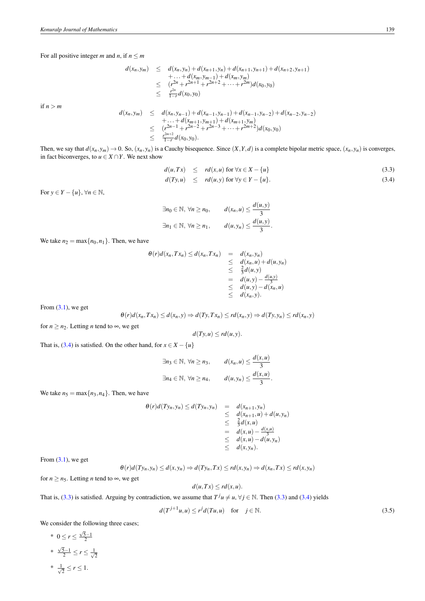For all positive integer *m* and *n*, if  $n \le m$ 

$$
d(x_n, y_m) \leq d(x_n, y_n) + d(x_{n+1}, y_n) + d(x_{n+1}, y_{n+1}) + d(x_{n+2}, y_{n+1})
$$
  
+ ... +  $d(x_m, y_{m-1}) + d(x_m, y_m)$   

$$
\leq (r^{2n} + r^{2n+1} + r^{2n+2} + \dots + r^{2m})d(x_0, y_0)
$$
  

$$
\leq \frac{r^{2n}}{1-r}d(x_0, y_0)
$$

if  $n > m$ 

$$
d(x_n, y_m) \le d(x_n, y_{n-1}) + d(x_{n-1}, y_{n-1}) + d(x_{n-1}, y_{n-2}) + d(x_{n-2}, y_{n-2})
$$
  
+ ... +  $d(x_{m+1}, y_{m+1}) + d(x_{m+1}, y_m)$   

$$
\le (r^{2n-1} + r^{2n-2} + r^{2n-3} + \dots + r^{2m+2})d(x_0, y_0)
$$
  

$$
\le \frac{r^{2m+2}}{1-r}d(x_0, y_0).
$$

Then, we say that  $d(x_n, y_m) \to 0$ . So,  $(x_n, y_n)$  is a Cauchy bisequence. Since  $(X, Y, d)$  is a complete bipolar metric space,  $(x_n, y_n)$  is converges, in fact biconverges, to  $u \in X \cap Y$ . We next show

<span id="page-2-0"></span>
$$
d(u,Tx) \leq rd(x,u) \text{ for } \forall x \in X - \{u\}
$$
  
\n
$$
d(Ty,u) \leq rd(u,y) \text{ for } \forall y \in Y - \{u\}.
$$
\n(3.3)

.

For  $y \in Y - \{u\}, \forall n \in \mathbb{N},$ 

$$
\exists n_0 \in \mathbb{N}, \forall n \ge n_0, \qquad d(x_n, u) \le \frac{d(u, y)}{3}
$$
  

$$
\exists n_1 \in \mathbb{N}, \forall n \ge n_1, \qquad d(u, y_n) \le \frac{d(u, y)}{3}
$$

We take  $n_2 = \max\{n_0, n_1\}$ . Then, we have

$$
\theta(r)d(x_n,Tx_n) \leq d(x_n,Tx_n) = d(x_n,y_n)
$$
  
\n
$$
\leq d(x_n,u) + d(u,y_n)
$$
  
\n
$$
\leq \frac{2}{3}d(u,y)
$$
  
\n
$$
= d(u,y) - \frac{d(u,y)}{3}
$$
  
\n
$$
\leq d(u,y) - d(x_n,u)
$$
  
\n
$$
\leq d(x_n,y).
$$

From  $(3.1)$ , we get

$$
\theta(r)d(x_n,Tx_n)\leq d(x_n,y)\Rightarrow d(Ty,Tx_n)\leq rd(x_n,y)\Rightarrow d(Ty,y_n)\leq rd(x_n,y)
$$

for  $n \ge n_2$ . Letting *n* tend to  $\infty$ , we get

$$
d(Ty, u) \leq rd(u, y).
$$

That is, [\(3.4\)](#page-2-0) is satisfied. On the other hand, for  $x \in X - \{u\}$ 

$$
\exists n_3 \in \mathbb{N}, \forall n \ge n_3, \qquad d(x_n, u) \le \frac{d(x, u)}{3}
$$
  

$$
\exists n_4 \in \mathbb{N}, \forall n \ge n_4, \qquad d(u, y_n) \le \frac{d(x, u)}{3}.
$$

We take  $n_5 = \max\{n_3, n_4\}$ . Then, we have

$$
\theta(r)d(Ty_n,y_n) \leq d(Ty_n,y_n) = d(x_{n+1},y_n)
$$
  
\n
$$
\leq d(x_{n+1},u) + d(u,y_n)
$$
  
\n
$$
\leq \frac{2}{3}d(x,u)
$$
  
\n
$$
= d(x,u) - \frac{d(x,u)}{3}
$$
  
\n
$$
\leq d(x,y_n) - d(u,y_n)
$$
  
\n
$$
\leq d(x,y_n).
$$

From  $(3.1)$ , we get

$$
\theta(r)d(Ty_n,y_n)\leq d(x,y_n)\Rightarrow d(Ty_n,Tx)\leq rd(x,y_n)\Rightarrow d(x_n,Tx)\leq rd(x,y_n)
$$

for  $n \ge n_5$ . Letting *n* tend to  $\infty$ , we get

$$
d(u,Tx) \leq rd(x,u).
$$

That is, [\(3.3\)](#page-2-0) is satisfied. Arguing by contradiction, we assume that  $T^j u \neq u$ ,  $\forall j \in \mathbb{N}$ . Then (3.3) and [\(3.4\)](#page-2-0) yields

<span id="page-2-1"></span>
$$
d(T^{j+1}u, u) \le r^j d(Tu, u) \quad \text{for} \quad j \in \mathbb{N}.\tag{3.5}
$$

We consider the following three cases;

\* 
$$
0 \le r \le \frac{\sqrt{5}-1}{2}
$$
  
\n\*  $\frac{\sqrt{5}-1}{2} \le r \le \frac{1}{\sqrt{2}}$   
\n\*  $\frac{1}{\sqrt{2}} \le r \le 1$ .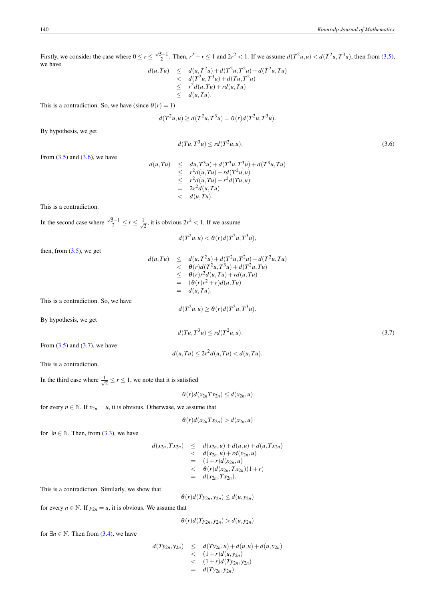Firstly, we consider the case where  $0 \le r \le \frac{\sqrt{5}-1}{2}$ . Then,  $r^2 + r \le 1$  and  $2r^2 < 1$ . If we assume  $d(T^2u, u) < d(T^2u, T^3u)$ , then from [\(3.5\)](#page-2-1), we have  $+ d(T^2)$ <sup>2</sup>*u*,*Tu*)

$$
d(u,Tu) \leq d(u,T^2u) + d(T^2u,T^2u) + d(T^2u,Tu)
$$
  

$$
< d(T^2u,T^3u) + d(Tu,T^2u)
$$
  

$$
\leq r^2d(u,Tu) + rd(u,Tu)
$$
  

$$
\leq d(u,Tu).
$$

This is a contradiction. So, we have (since  $\theta(r) = 1$ )

$$
d(T^2u, u) \ge d(T^2u, T^3u) = \theta(r)d(T^2u, T^3u).
$$

By hypothesis, we get

<span id="page-3-0"></span>
$$
d(Tu, T^3u) \le rd(T^2u, u). \tag{3.6}
$$

From  $(3.5)$  and  $(3.6)$ , we have

$$
d(u,Tu) \leq du, T^3u) + d(T^3u, T^3u) + d(T^3u, Tu)
$$
  
\n
$$
\leq r^2 d(u, Tu) + rd(T^2u, u)
$$
  
\n
$$
\leq r^2 d(u, Tu) + r^2 d(Tu, u)
$$
  
\n
$$
= 2r^2 d(u, Tu)
$$
  
\n
$$
< d(u, Tu).
$$

This is a contradiction.

In the second case where  $\frac{\sqrt{5}-1}{2} \leq r \leq \frac{1}{\sqrt{2}}$  $\frac{1}{2}$ , it is obvious  $2r^2 < 1$ . If we assume

$$
d(T^2u, u) < \theta(r)d(T^2u, T^3u)
$$

 $d(T^2u, u) \ge \theta(r)d(T^2u, T^3u).$ 

 $d(u, Tu) \leq 2r^2 d(u, Tu) < d(u, Tu).$ 

then, from  $(3.5)$ , we get

$$
d(u,Tu) \leq d(u,T^2u) + d(T^2u,T^2u) + d(T^2u,Tu)
$$
  
\n
$$
< \theta(r)d(T^2u,T^3u) + d(T^2u,Tu)
$$
  
\n
$$
\leq \theta(r)r^2d(u,Tu) + rd(u,Tu)
$$
  
\n
$$
= (\theta(r)r^2 + r)d(u,Tu)
$$
  
\n
$$
= d(u,Tu).
$$
  
\nwe have

This is a contradiction. So,

By hypothesis, we get

<span id="page-3-1"></span>
$$
d(Tu, T^3u) \le r d(T^2u, u). \tag{3.7}
$$

From  $(3.5)$  and  $(3.7)$ , we have

This is a contradiction.

In the third case where  $\frac{1}{\sqrt{2}}$  $\frac{1}{2} \leq r \leq 1$ , we note that it is satisfied

$$
\theta(r)d(x_{2n}Tx_{2n})\leq d(x_{2n},u)
$$

for every  $n \in \mathbb{N}$ . If  $x_{2n} = u$ , it is obvious. Otherwase, we assume that

$$
\theta(r)d(x_{2n}Tx_{2n}) > d(x_{2n},u)
$$

for  $\exists n \in \mathbb{N}$ . Then, from [\(3.3\)](#page-2-0), we have

$$
d(x_{2n}, Tx_{2n}) \leq d(x_{2n}, u) + d(u, u) + d(u, Tx_{2n})
$$
  

$$
< d(x_{2n}, u) + rd(x_{2n}, u)
$$
  

$$
= (1+r)d(x_{2n}, u)
$$
  

$$
< \theta(r)d(x_{2n}, Tx_{2n})(1+r)
$$
  

$$
= d(x_{2n}, Tx_{2n}).
$$

This is a contradiction. Similarly, we show that

$$
\theta(r)d(Ty_{2n},y_{2n}) \leq d(u,y_{2n})
$$

for every  $n \in \mathbb{N}$ . If  $y_{2n} = u$ , it is obvious. We assume that

$$
\theta(r)d(Ty_{2n},y_{2n}) > d(u,y_{2n})
$$

for  $\exists n \in \mathbb{N}$ . Then from [\(3.4\)](#page-2-0), we have

$$
d(Ty_{2n}, y_{2n}) \le d(Ty_{2n}, u) + d(u, u) + d(u, y_{2n})
$$
  

$$
< (1+r)d(u, y_{2n})
$$
  

$$
< (1+r)d(Ty_{2n}, y_{2n})
$$
  

$$
= d(Ty_{2n}, y_{2n}).
$$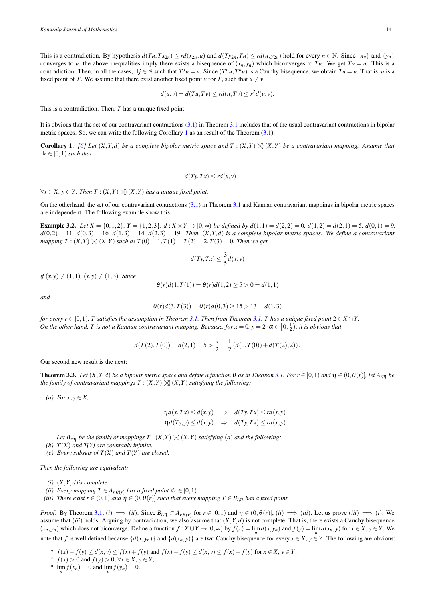This is a contradiction. By hypothesis  $d(Tu, Tx_{2n}) \le rd(x_{2n}, u)$  and  $d(Ty_{2n}, Tu) \le rd(u, y_{2n})$  hold for every  $n \in \mathbb{N}$ . Since  $\{x_n\}$  and  $\{y_n\}$ converges to *u*, the above inequalities imply there exists a bisequence of  $(x_n, y_n)$  which biconverges to *Tu*. We get *Tu* = *u*. This is a contradiction. Then, in all the cases,  $\exists j \in \mathbb{N}$  such that  $T^j u = u$ . Since  $(T^n u, T^n u)$  is a Cauchy bisequence, we obtain  $Tu = u$ . That is, u is a fixed point of *T*. We assume that there exist another fixed point *v* for *T*, such that  $u \neq v$ .

$$
d(u, v) = d(Tu, Tv) \leq rd(u, Tv) \leq r^2 d(u, v).
$$

This is a contradiction. Then, *T* has a unique fixed point.

It is obvious that the set of our contravariant contractions  $(3.1)$  in Theorem [3.1](#page-1-2) includes that of the usual contravariant contractions in bipolar metric spaces. So, we can write the following Corollary [1](#page-4-0) as an result of the Theorem [\(3.1\)](#page-1-2).

<span id="page-4-0"></span>**Corollary 1.** [\[6\]](#page-6-8) Let  $(X, Y, d)$  be a complete bipolar metric space and  $T : (X, Y) \times (X, Y)$  be a contravariant mapping. Assume that ∃*r* ∈ [0,1) *such that*

$$
d(Ty,Tx) \leq rd(x,y)
$$

 $∀x ∈ X, y ∈ Y$ . Then  $T : (X,Y)  $∑(X,Y)$  has a unique fixed point.$ 

On the otherhand, the set of our contravariant contractions [\(3.1\)](#page-1-0) in Theorem [3.1](#page-1-2) and Kannan contravariant mappings in bipolar metric spaces are independent. The following example show this.

**Example 3.2.** Let  $X = \{0, 1, 2\}$ ,  $Y = \{1, 2, 3\}$ ,  $d: X \times Y \to [0, \infty)$  be defined by  $d(1, 1) = d(2, 2) = 0$ ,  $d(1, 2) = d(2, 1) = 5$ ,  $d(0, 1) = 9$ ,  $d(0,2) = 11, d(0,3) = 16, d(1,3) = 14, d(2,3) = 19$ . Then,  $(X,Y,d)$  is a complete bipolar metric spaces. We define a contravariant *mapping*  $T : (X,Y) \times (X,Y)$  *such as*  $T(0) = 1, T(1) = T(2) = 2, T(3) = 0$ *. Then we get* 

$$
d(Ty,Tx) \le \frac{3}{5}d(x,y)
$$

 $if (x, y) \neq (1, 1), (x, y) \neq (1, 3)$ *. Since* 

$$
\theta(r)d(1,T(1)) = \theta(r)d(1,2) \ge 5 > 0 = d(1,1)
$$

*and*

$$
\theta(r)d(3,T(3)) = \theta(r)d(0,3) \ge 15 > 13 = d(1,3)
$$

*for every r*  $\in$  [0,1), *T* satisfies the assumption in Theorem [3.1.](#page-1-2) Then from Theorem [3.1,](#page-1-2) T has a unique fixed point  $2 \in X \cap Y$ . *On the other hand, T is not a Kannan contravariant mapping. Because, for*  $x = 0$ ,  $y = 2$ ,  $\alpha \in [0, \frac{1}{2})$ , it is obvious that

$$
d(T(2), T(0)) = d(2, 1) = 5 > \frac{9}{2} = \frac{1}{2} (d(0, T(0)) + d(T(2), 2)).
$$

Our second new result is the next:

<span id="page-4-1"></span>**Theorem 3.3.** Let  $(X, Y, d)$  be a bipolar metric space and define a function  $\theta$  as in Theorem [3.1.](#page-1-2) For  $r \in [0, 1)$  and  $\eta \in (0, \theta(r)]$ , let  $A_{r,\eta}$  be *the family of contravariant mappings*  $T : (X,Y) \times (X,Y)$  *satisfying the following:* 

 $(a) For x, y \in X,$ 

$$
\eta d(x,Tx) \le d(x,y) \Rightarrow d(Ty,Tx) \le rd(x,y) \n\eta d(Ty,y) \le d(x,y) \Rightarrow d(Ty,Tx) \le rd(x,y).
$$

*Let*  $B_{r,n}$  *be the family of mappings*  $T : (X,Y) \searrow (X,Y)$  *satisfying* (*a*) *and the following*:

*(b) T*(*X*) *and T(Y) are countably infinite.*

*(c) Every subsets of T*(*X*) *and T*(*Y*) *are closed.*

*Then the following are equivalent:*

*(i)* (*X*,*Y*,*d*)*is complete.*

*(ii) Every mapping*  $T \in A_{r,\theta(r)}$  *has a fixed point*  $\forall r \in [0,1)$ *.* 

*(iii) There exist*  $r \in (0,1)$  *and*  $\eta \in (0,\theta(r)]$  *such that every mapping*  $T \in B_{r,\eta}$  *has a fixed point.* 

*Proof.* By Theorem [3.1,](#page-1-2) (i)  $\implies$  (ii). Since  $B_{r,\eta} \subset A_{r,\theta(r)}$  for  $r \in [0,1)$  and  $\eta \in (0,\theta(r)]$ , (ii)  $\implies$  (iii). Let us prove (iii)  $\implies$  (i). We assume that *(iii)* holds. Arguing by contradiction, we also assume that  $(X, Y, d)$  is not complete. That is, there exists a Cauchy bisequence  $(x_n, y_n)$  which does not biconverge. Define a function  $f: X \cup Y \to [0, \infty)$  by  $f(x) = \lim_{n} d(x, y_n)$  and  $f(y) = \lim_{n} d(x_n, y)$  for  $x \in X, y \in Y$ . We note that f is well defined because  $\{d(x, y_n)\}\$  and  $\{d(x_n, y)\}\$  are two Cauchy bisequence for every  $x \in X$ ,  $y \in Y$ . The following are obvious:

*\**  $f(x) - f(y) \le d(x, y) \le f(x) + f(y)$  and  $f(x) - f(y) \le d(x, y) \le f(x) + f(y)$  for  $x \in X, y \in Y$ ,

\* *f*(*x*) > 0 and *f*(*y*) > 0, ∀*x* ∈ *X*, *y* ∈ *Y*,

\*  $\lim_{n} f(x_n) = 0$  and  $\lim_{n} f(y_n) = 0$ .

 $\Box$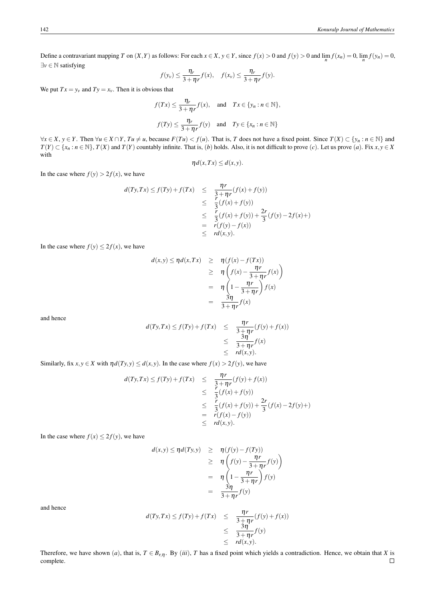Define a contravariant mapping T on  $(X, Y)$  as follows: For each  $x \in X$ ,  $y \in Y$ , since  $f(x) > 0$  and  $f(y) > 0$  and  $\lim_{n} f(x_n) = 0$ ,  $\lim_{n} f(y_n) = 0$ , ∃*v* ∈ N satisfying

$$
f(y_v) \leq \frac{\eta_r}{3+\eta_r} f(x), \quad f(x_v) \leq \frac{\eta_r}{3+\eta_r} f(y).
$$

We put  $Tx = y_y$  and  $Ty = x_y$ . Then it is obvious that

$$
f(Tx) \le \frac{\eta_r}{3 + \eta_r} f(x), \text{ and } Tx \in \{y_n : n \in \mathbb{N}\},
$$
  

$$
f(Ty) \le \frac{\eta_r}{3 + \eta_r} f(y) \text{ and } Ty \in \{x_n : n \in \mathbb{N}\}
$$

 $\forall x \in X, y \in Y$ . Then  $\forall u \in X \cap Y$ ,  $Tu \neq u$ , because  $F(Tu) < f(u)$ . That is, T does not have a fixed point. Since  $T(X) \subset \{y_n : n \in \mathbb{N}\}\$ and  $T(Y) \subset \{x_n : n \in \mathbb{N}\}\$ ,  $T(X)$  and  $T(Y)$  countably infinite. That is, (b) holds. Also, it is not difficult to prove (c). Let us prove (a). Fix  $x, y \in X$ with

$$
\eta d(x,Tx) \leq d(x,y).
$$

In the case where  $f(y) > 2f(x)$ , we have

$$
d(Ty,Tx) \le f(Ty) + f(Tx) \le \frac{\eta r}{\frac{3}{3} + \eta r}(f(x) + f(y))
$$
  
\n
$$
\le \frac{r}{3}(f(x) + f(y))
$$
  
\n
$$
\le \frac{r}{3}(f(x) + f(y)) + \frac{2r}{3}(f(y) - 2f(x) +)
$$
  
\n
$$
= r(f(y) - f(x))
$$
  
\n
$$
\le r d(x,y).
$$

In the case where  $f(y) \leq 2f(x)$ , we have

$$
d(x,y) \leq \eta d(x,Tx) \geq \eta (f(x) - f(Tx))
$$
  
\n
$$
\geq \eta \left( f(x) - \frac{\eta r}{3 + \eta r} f(x) \right)
$$
  
\n
$$
= \eta \left( 1 - \frac{\eta r}{3 + \eta r} \right) f(x)
$$
  
\n
$$
= \frac{3\eta}{3 + \eta r} f(x)
$$

and hence

$$
d(Ty,Tx) \le f(Ty) + f(Tx) \le \frac{\eta r}{3 + \eta r}(f(y) + f(x))
$$
  

$$
\le \frac{3\eta}{3 + \eta r}f(x)
$$
  

$$
\le r d(x,y).
$$

Similarly, fix  $x, y \in X$  with  $\eta d(Ty, y) \leq d(x, y)$ . In the case where  $f(x) > 2f(y)$ , we have

$$
d(Ty,Tx) \le f(Ty) + f(Tx) \le \frac{\eta r}{\frac{3}{3} + \eta r}(f(y) + f(x))
$$
  
\n
$$
\le \frac{r}{3}(f(x) + f(y))
$$
  
\n
$$
\le \frac{r}{3}(f(x) + f(y)) + \frac{2r}{3}(f(x) - 2f(y) +)
$$
  
\n
$$
= r(f(x) - f(y))
$$
  
\n
$$
\le r d(x,y).
$$

In the case where  $f(x) \leq 2f(y)$ , we have

$$
d(x,y) \le \eta d(Ty,y) \ge \eta (f(y) - f(Ty))
$$
  
\n
$$
\ge \eta \left( f(y) - \frac{\eta r}{3 + \eta r} f(y) \right)
$$
  
\n
$$
= \eta \left( 1 - \frac{\eta r}{3 + \eta r} \right) f(y)
$$
  
\n
$$
= \frac{3\eta}{3 + \eta r} f(y)
$$

and hence

$$
d(Ty,Tx) \le f(Ty) + f(Tx) \le \frac{\eta r}{3 + \eta r}(f(y) + f(x))
$$
  

$$
\le \frac{3\eta}{3 + \eta r}f(y)
$$
  

$$
\le r d(x,y).
$$

Therefore, we have shown (*a*), that is,  $T \in B_{r,\eta}$ . By (*iii*), *T* has a fixed point which yields a contradiction. Hence, we obtain that *X* is complete. complete.